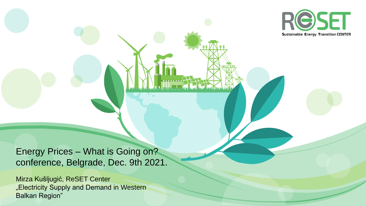

Energy Prices – What is Going on? conference, Belgrade, Dec. 9th 2021.

Mirza Kušljugić, ReSET Center "Electricity Supply and Demand in Western Balkan Region"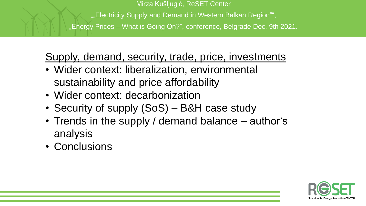Mirza Kušljugić, ReSET Center "..., Electricity Supply and Demand in Western Balkan Region"", "Energy Prices – What is Going On?", conference, Belgrade Dec. 9th 2021.

Supply, demand, security, trade, price, investments

- Wider context: liberalization, environmental sustainability and price affordability
- Wider context: decarbonization
- Security of supply (SoS) B&H case study
- Trends in the supply / demand balance author's analysis
- Conclusions

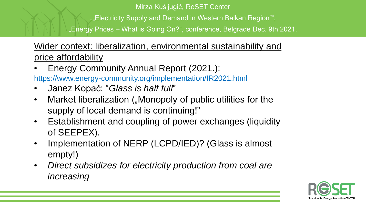""Electricity Supply and Demand in Western Balkan Region"",

"Energy Prices – What is Going On?", conference, Belgrade Dec. 9th 2021.

Wider context: liberalization, environmental sustainability and price affordability

- Energy Community Annual Report (2021.): https://www.energy-community.org/implementation/IR2021.html
- Janez Kopač: "*Glass is half full*"
- Market liberalization ("Monopoly of public utilities for the supply of local demand is continuing!"
- Establishment and coupling of power exchanges (liquidity of SEEPEX).
- Implementation of NERP (LCPD/IED)? (Glass is almost empty!)
- *Direct subsidizes for electricity production from coal are increasing*

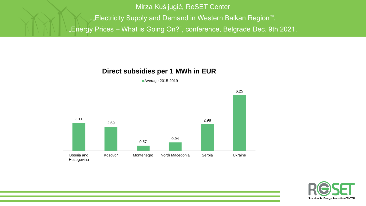Mirza Kušljugić, ReSET Center ""Electricity Supply and Demand in Western Balkan Region"", "Energy Prices - What is Going On?", conference, Belgrade Dec. 9th 2021.

### **Direct subsidies per 1 MWh in EUR**





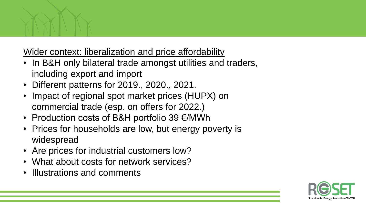

Wider context: liberalization and price affordability

- In B&H only bilateral trade amongst utilities and traders, including export and import
- Different patterns for 2019., 2020., 2021.
- Impact of regional spot market prices (HUPX) on commercial trade (esp. on offers for 2022.)
- Production costs of B&H portfolio 39 €/MWh
- Prices for households are low, but energy poverty is widespread
- Are prices for industrial customers low?
- What about costs for network services?
- Illustrations and comments

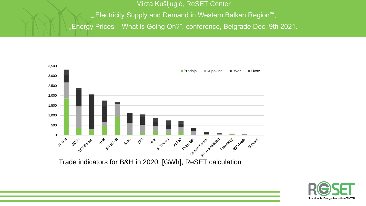Mirza Kušljugić, ReSET Center ""Electricity Supply and Demand in Western Balkan Region"", "Energy Prices - What is Going On?", conference, Belgrade Dec. 9th 2021.



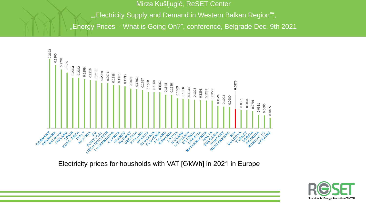""Electricity Supply and Demand in Western Balkan Region"",

"Energy Prices – What is Going On?", conference, Belgrade Dec. 9th 2021



Electricity prices for housholds with VAT [€/kWh] in 2021 in Europe

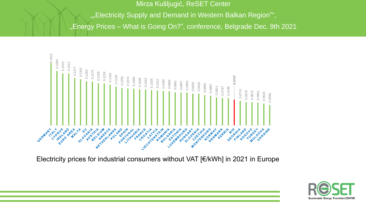""Electricity Supply and Demand in Western Balkan Region"",

"Energy Prices – What is Going On?", conference, Belgrade Dec. 9th 2021



Electricity prices for industrial consumers without VAT [€/kWh] in 2021 in Europe

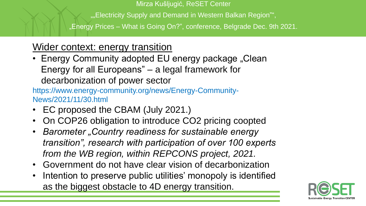"..., Electricity Supply and Demand in Western Balkan Region"",

"Energy Prices – What is Going On?", conference, Belgrade Dec. 9th 2021.

# Wider context: energy transition

• Energy Community adopted EU energy package "Clean Energy for all Europeans" – a legal framework for decarbonization of power sector

https://www.energy-community.org/news/Energy-Community-News/2021/11/30.html

- EC proposed the CBAM (July 2021.)
- On COP26 obligation to introduce CO2 pricing coopted
- *Barometer "Country readiness for sustainable energy transition", research with participation of over 100 experts from the WB region, within REPCONS project, 2021.*
- Government do not have clear vision of decarbonization
- Intention to preserve public utilities' monopoly is identified as the biggest obstacle to 4D energy transition.

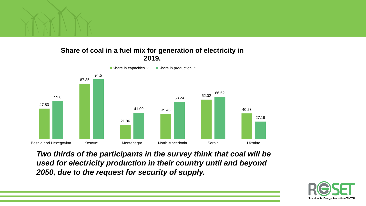

#### **Share of coal in a fuel mix for generation of electricity in 2019.**



*Two thirds of the participants in the survey think that coal will be used for electricity production in their country until and beyond 2050, due to the request for security of supply.*

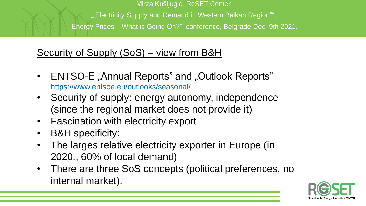Mirza Kušljugić, ReSET Center "..., Electricity Supply and Demand in Western Balkan Region"", "Energy Prices – What is Going On?", conference, Belgrade Dec. 9th 2021.

# Security of Supply (SoS) – view from B&H

- ENTSO-E "Annual Reports" and "Outlook Reports" https://www.entsoe.eu/outlooks/seasonal/
- Security of supply: energy autonomy, independence (since the regional market does not provide it)
- Fascination with electricity export
- B&H specificity:
- The larges relative electricity exporter in Europe (in 2020., 60% of local demand)
- There are three SoS concepts (political preferences, no internal market).

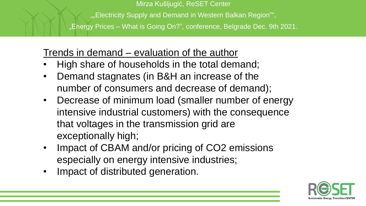"Electricity Supply and Demand in Western Balkan Region"",

"Energy Prices – What is Going On?", conference, Belgrade Dec. 9th 2021.

### Trends in demand – evaluation of the author

- High share of households in the total demand;
- Demand stagnates (in B&H an increase of the number of consumers and decrease of demand);
- Decrease of minimum load (smaller number of energy intensive industrial customers) with the consequence that voltages in the transmission grid are exceptionally high;
- Impact of CBAM and/or pricing of CO2 emissions especially on energy intensive industries;
- Impact of distributed generation.

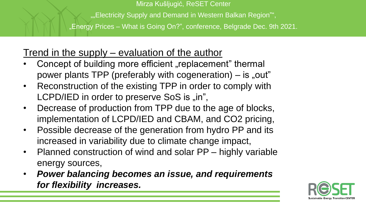"..., Electricity Supply and Demand in Western Balkan Region"",

"Energy Prices – What is Going On?", conference, Belgrade Dec. 9th 2021.

## Trend in the supply – evaluation of the author

- Concept of building more efficient "replacement" thermal power plants TPP (preferably with cogeneration)  $-$  is "out"
- Reconstruction of the existing TPP in order to comply with LCPD/IED in order to preserve SoS is "in",
- Decrease of production from TPP due to the age of blocks, implementation of LCPD/IED and CBAM, and CO2 pricing,
- Possible decrease of the generation from hydro PP and its increased in variability due to climate change impact,
- Planned construction of wind and solar PP highly variable energy sources,
- *Power balancing becomes an issue, and requirements for flexibility increases.*

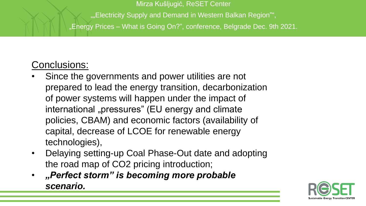"..., Electricity Supply and Demand in Western Balkan Region"",

"Energy Prices – What is Going On?", conference, Belgrade Dec. 9th 2021.

## Conclusions:

- Since the governments and power utilities are not prepared to lead the energy transition, decarbonization of power systems will happen under the impact of international "pressures" (EU energy and climate policies, CBAM) and economic factors (availability of capital, decrease of LCOE for renewable energy technologies),
- Delaying setting-up Coal Phase-Out date and adopting the road map of CO2 pricing introduction;
- *"Perfect storm" is becoming more probable scenario.*